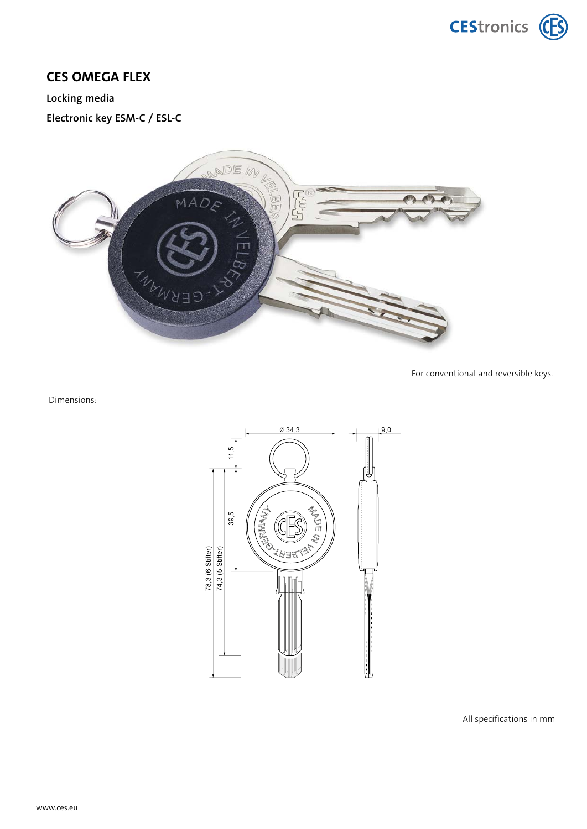## **CES OMEGA FLEX**

## **Locking media**

**Electronic key ESM-C / ESL-C**



For conventional and reversible keys.

Dimensions:



All specifications in mm